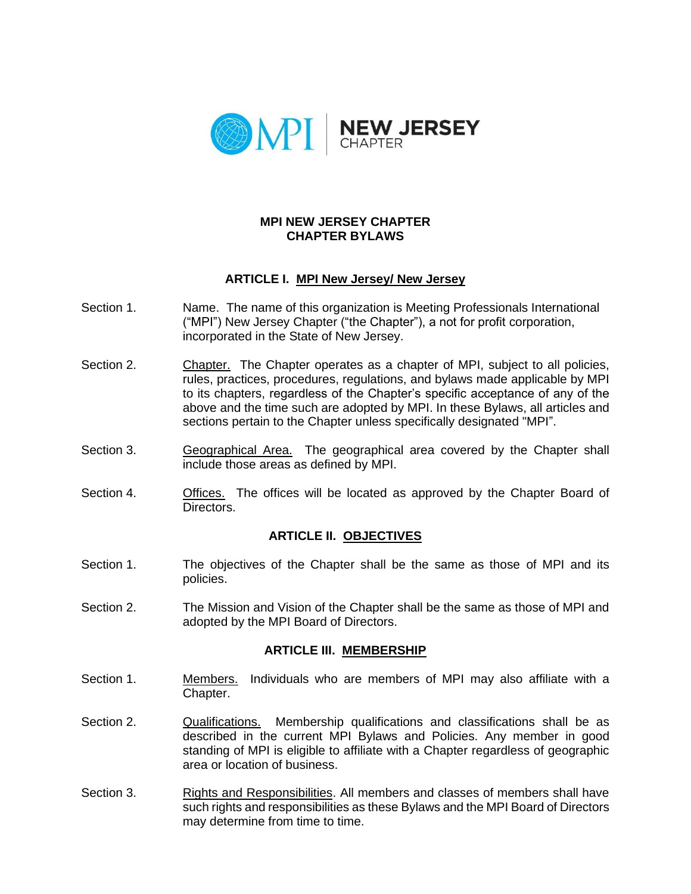

#### **MPI NEW JERSEY CHAPTER CHAPTER BYLAWS**

## **ARTICLE I. MPI New Jersey/ New Jersey**

- Section 1. Name. The name of this organization is Meeting Professionals International ("MPI") New Jersey Chapter ("the Chapter"), a not for profit corporation, incorporated in the State of New Jersey.
- Section 2. Chapter. The Chapter operates as a chapter of MPI, subject to all policies, rules, practices, procedures, regulations, and bylaws made applicable by MPI to its chapters, regardless of the Chapter's specific acceptance of any of the above and the time such are adopted by MPI. In these Bylaws, all articles and sections pertain to the Chapter unless specifically designated "MPI".
- Section 3. Geographical Area. The geographical area covered by the Chapter shall include those areas as defined by MPI.
- Section 4. Offices. The offices will be located as approved by the Chapter Board of Directors.

### **ARTICLE II. OBJECTIVES**

- Section 1. The objectives of the Chapter shall be the same as those of MPI and its policies.
- Section 2. The Mission and Vision of the Chapter shall be the same as those of MPI and adopted by the MPI Board of Directors.

#### **ARTICLE III. MEMBERSHIP**

- Section 1. Members. Individuals who are members of MPI may also affiliate with a Chapter.
- Section 2. Qualifications. Membership qualifications and classifications shall be as described in the current MPI Bylaws and Policies. Any member in good standing of MPI is eligible to affiliate with a Chapter regardless of geographic area or location of business.
- Section 3. Rights and Responsibilities. All members and classes of members shall have such rights and responsibilities as these Bylaws and the MPI Board of Directors may determine from time to time.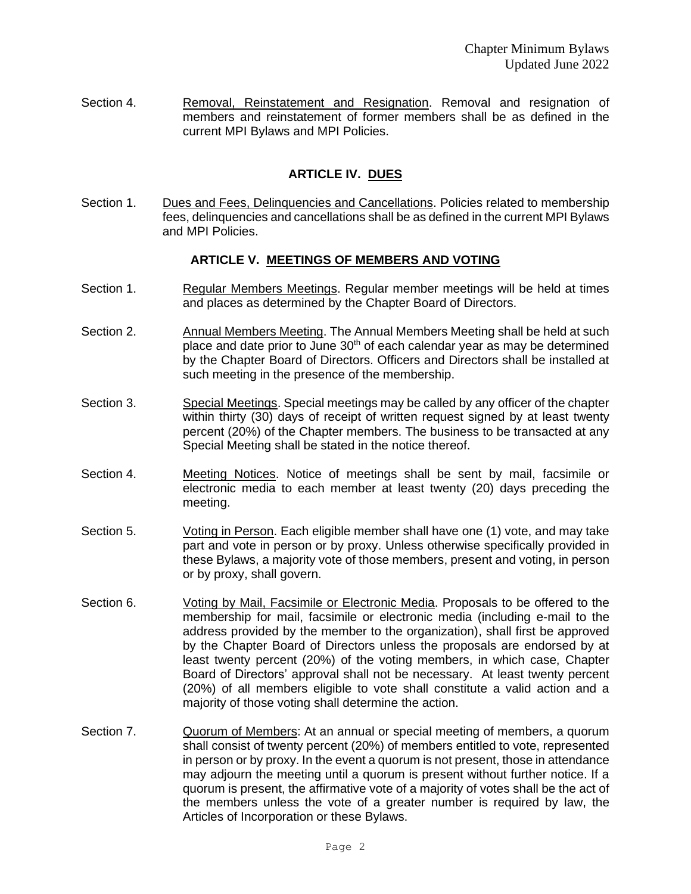Section 4. **Removal, Reinstatement and Resignation. Removal and resignation of** members and reinstatement of former members shall be as defined in the current MPI Bylaws and MPI Policies.

# **ARTICLE IV. DUES**

Section 1. Dues and Fees, Delinquencies and Cancellations. Policies related to membership fees, delinquencies and cancellations shall be as defined in the current MPI Bylaws and MPI Policies.

### **ARTICLE V. MEETINGS OF MEMBERS AND VOTING**

- Section 1. **Regular Members Meetings. Regular member meetings will be held at times** and places as determined by the Chapter Board of Directors.
- Section 2. Annual Members Meeting. The Annual Members Meeting shall be held at such place and date prior to June  $30<sup>th</sup>$  of each calendar year as may be determined by the Chapter Board of Directors. Officers and Directors shall be installed at such meeting in the presence of the membership.
- Section 3. Special Meetings. Special meetings may be called by any officer of the chapter within thirty (30) days of receipt of written request signed by at least twenty percent (20%) of the Chapter members. The business to be transacted at any Special Meeting shall be stated in the notice thereof.
- Section 4. Meeting Notices. Notice of meetings shall be sent by mail, facsimile or electronic media to each member at least twenty (20) days preceding the meeting.
- Section 5. Voting in Person. Each eligible member shall have one (1) vote, and may take part and vote in person or by proxy. Unless otherwise specifically provided in these Bylaws, a majority vote of those members, present and voting, in person or by proxy, shall govern.
- Section 6. Voting by Mail, Facsimile or Electronic Media. Proposals to be offered to the membership for mail, facsimile or electronic media (including e-mail to the address provided by the member to the organization), shall first be approved by the Chapter Board of Directors unless the proposals are endorsed by at least twenty percent (20%) of the voting members, in which case, Chapter Board of Directors' approval shall not be necessary. At least twenty percent (20%) of all members eligible to vote shall constitute a valid action and a majority of those voting shall determine the action.
- Section 7. Quorum of Members: At an annual or special meeting of members, a quorum shall consist of twenty percent (20%) of members entitled to vote, represented in person or by proxy. In the event a quorum is not present, those in attendance may adjourn the meeting until a quorum is present without further notice. If a quorum is present, the affirmative vote of a majority of votes shall be the act of the members unless the vote of a greater number is required by law, the Articles of Incorporation or these Bylaws.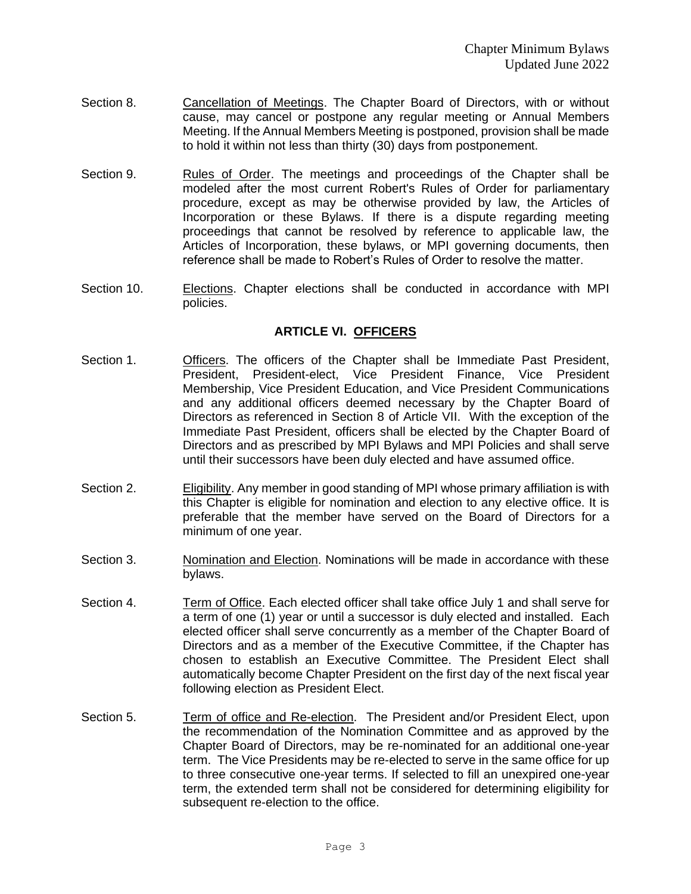- Section 8. Cancellation of Meetings. The Chapter Board of Directors, with or without cause, may cancel or postpone any regular meeting or Annual Members Meeting. If the Annual Members Meeting is postponed, provision shall be made to hold it within not less than thirty (30) days from postponement.
- Section 9. Rules of Order. The meetings and proceedings of the Chapter shall be modeled after the most current Robert's Rules of Order for parliamentary procedure, except as may be otherwise provided by law, the Articles of Incorporation or these Bylaws. If there is a dispute regarding meeting proceedings that cannot be resolved by reference to applicable law, the Articles of Incorporation, these bylaws, or MPI governing documents, then reference shall be made to Robert's Rules of Order to resolve the matter.
- Section 10. Elections. Chapter elections shall be conducted in accordance with MPI policies.

### **ARTICLE VI. OFFICERS**

- Section 1. Officers. The officers of the Chapter shall be Immediate Past President, President, President-elect, Vice President Finance, Vice President Membership, Vice President Education, and Vice President Communications and any additional officers deemed necessary by the Chapter Board of Directors as referenced in Section 8 of Article VII. With the exception of the Immediate Past President, officers shall be elected by the Chapter Board of Directors and as prescribed by MPI Bylaws and MPI Policies and shall serve until their successors have been duly elected and have assumed office.
- Section 2. **Eligibility.** Any member in good standing of MPI whose primary affiliation is with this Chapter is eligible for nomination and election to any elective office. It is preferable that the member have served on the Board of Directors for a minimum of one year.
- Section 3. Nomination and Election. Nominations will be made in accordance with these bylaws.
- Section 4. Term of Office. Each elected officer shall take office July 1 and shall serve for a term of one (1) year or until a successor is duly elected and installed. Each elected officer shall serve concurrently as a member of the Chapter Board of Directors and as a member of the Executive Committee, if the Chapter has chosen to establish an Executive Committee. The President Elect shall automatically become Chapter President on the first day of the next fiscal year following election as President Elect.
- Section 5. Term of office and Re-election. The President and/or President Elect, upon the recommendation of the Nomination Committee and as approved by the Chapter Board of Directors, may be re-nominated for an additional one-year term. The Vice Presidents may be re-elected to serve in the same office for up to three consecutive one-year terms. If selected to fill an unexpired one-year term, the extended term shall not be considered for determining eligibility for subsequent re-election to the office.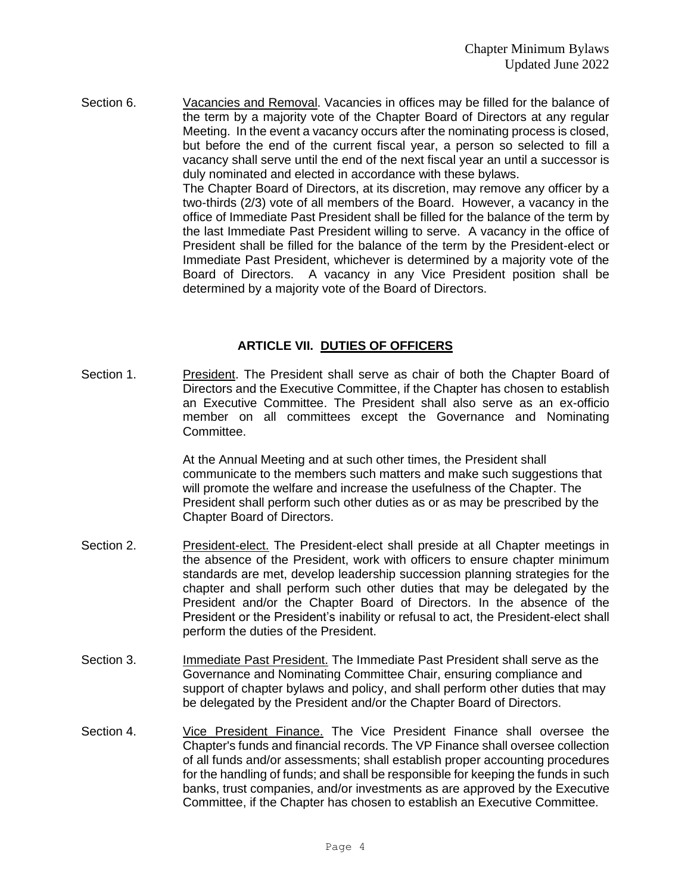Section 6. Vacancies and Removal. Vacancies in offices may be filled for the balance of the term by a majority vote of the Chapter Board of Directors at any regular Meeting. In the event a vacancy occurs after the nominating process is closed, but before the end of the current fiscal year, a person so selected to fill a vacancy shall serve until the end of the next fiscal year an until a successor is duly nominated and elected in accordance with these bylaws. The Chapter Board of Directors, at its discretion, may remove any officer by a two-thirds (2/3) vote of all members of the Board. However, a vacancy in the office of Immediate Past President shall be filled for the balance of the term by the last Immediate Past President willing to serve. A vacancy in the office of

President shall be filled for the balance of the term by the President-elect or Immediate Past President, whichever is determined by a majority vote of the Board of Directors. A vacancy in any Vice President position shall be determined by a majority vote of the Board of Directors.

### **ARTICLE VII. DUTIES OF OFFICERS**

Section 1. **President. The President shall serve as chair of both the Chapter Board of** Directors and the Executive Committee, if the Chapter has chosen to establish an Executive Committee. The President shall also serve as an ex-officio member on all committees except the Governance and Nominating Committee.

> At the Annual Meeting and at such other times, the President shall communicate to the members such matters and make such suggestions that will promote the welfare and increase the usefulness of the Chapter. The President shall perform such other duties as or as may be prescribed by the Chapter Board of Directors.

- Section 2. **President-elect. The President-elect shall preside at all Chapter meetings in** the absence of the President, work with officers to ensure chapter minimum standards are met, develop leadership succession planning strategies for the chapter and shall perform such other duties that may be delegated by the President and/or the Chapter Board of Directors. In the absence of the President or the President's inability or refusal to act, the President-elect shall perform the duties of the President.
- Section 3. Immediate Past President. The Immediate Past President shall serve as the Governance and Nominating Committee Chair, ensuring compliance and support of chapter bylaws and policy, and shall perform other duties that may be delegated by the President and/or the Chapter Board of Directors.
- Section 4. <u>Vice President Finance.</u> The Vice President Finance shall oversee the Chapter's funds and financial records. The VP Finance shall oversee collection of all funds and/or assessments; shall establish proper accounting procedures for the handling of funds; and shall be responsible for keeping the funds in such banks, trust companies, and/or investments as are approved by the Executive Committee, if the Chapter has chosen to establish an Executive Committee.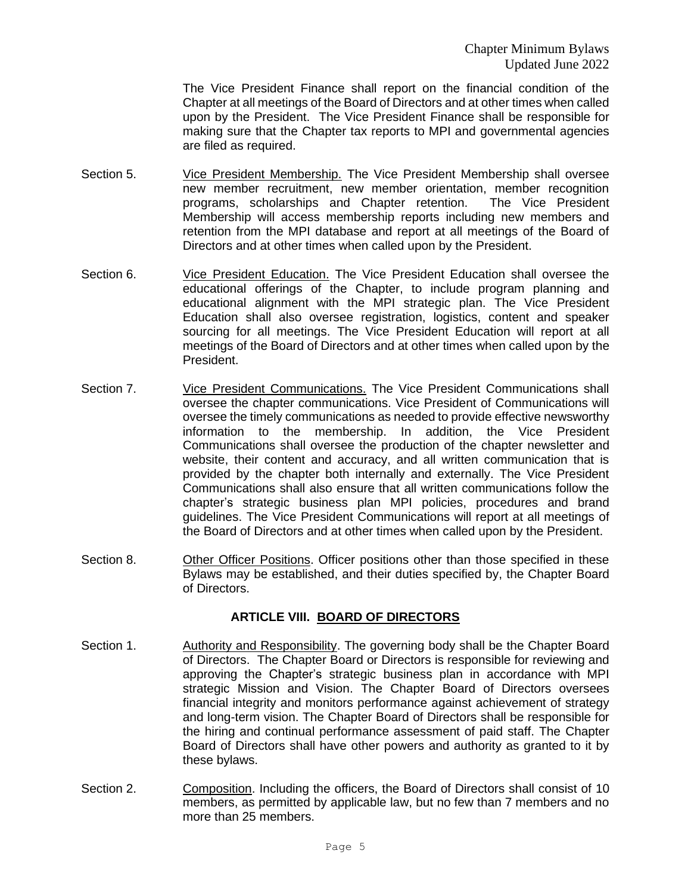The Vice President Finance shall report on the financial condition of the Chapter at all meetings of the Board of Directors and at other times when called upon by the President. The Vice President Finance shall be responsible for making sure that the Chapter tax reports to MPI and governmental agencies are filed as required.

- Section 5. Vice President Membership. The Vice President Membership shall oversee new member recruitment, new member orientation, member recognition programs, scholarships and Chapter retention. The Vice President Membership will access membership reports including new members and retention from the MPI database and report at all meetings of the Board of Directors and at other times when called upon by the President.
- Section 6. Vice President Education. The Vice President Education shall oversee the educational offerings of the Chapter, to include program planning and educational alignment with the MPI strategic plan. The Vice President Education shall also oversee registration, logistics, content and speaker sourcing for all meetings. The Vice President Education will report at all meetings of the Board of Directors and at other times when called upon by the President.
- Section 7. Vice President Communications. The Vice President Communications shall oversee the chapter communications. Vice President of Communications will oversee the timely communications as needed to provide effective newsworthy information to the membership. In addition, the Vice President Communications shall oversee the production of the chapter newsletter and website, their content and accuracy, and all written communication that is provided by the chapter both internally and externally. The Vice President Communications shall also ensure that all written communications follow the chapter's strategic business plan MPI policies, procedures and brand guidelines. The Vice President Communications will report at all meetings of the Board of Directors and at other times when called upon by the President.
- Section 8. Other Officer Positions. Officer positions other than those specified in these Bylaws may be established, and their duties specified by, the Chapter Board of Directors.

## **ARTICLE VIII. BOARD OF DIRECTORS**

- Section 1. Authority and Responsibility. The governing body shall be the Chapter Board of Directors. The Chapter Board or Directors is responsible for reviewing and approving the Chapter's strategic business plan in accordance with MPI strategic Mission and Vision. The Chapter Board of Directors oversees financial integrity and monitors performance against achievement of strategy and long-term vision. The Chapter Board of Directors shall be responsible for the hiring and continual performance assessment of paid staff. The Chapter Board of Directors shall have other powers and authority as granted to it by these bylaws.
- Section 2. Composition. Including the officers, the Board of Directors shall consist of 10 members, as permitted by applicable law, but no few than 7 members and no more than 25 members.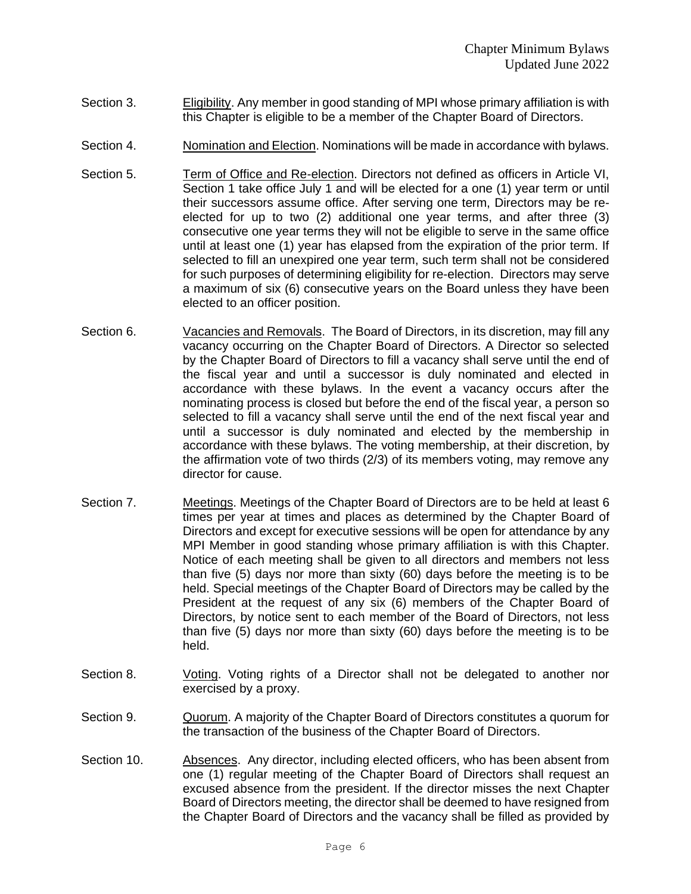- Section 3. Eligibility. Any member in good standing of MPI whose primary affiliation is with this Chapter is eligible to be a member of the Chapter Board of Directors.
- Section 4. Nomination and Election. Nominations will be made in accordance with bylaws.
- Section 5. Term of Office and Re-election. Directors not defined as officers in Article VI, Section 1 take office July 1 and will be elected for a one (1) year term or until their successors assume office. After serving one term, Directors may be reelected for up to two (2) additional one year terms, and after three (3) consecutive one year terms they will not be eligible to serve in the same office until at least one (1) year has elapsed from the expiration of the prior term. If selected to fill an unexpired one year term, such term shall not be considered for such purposes of determining eligibility for re-election. Directors may serve a maximum of six (6) consecutive years on the Board unless they have been elected to an officer position.
- Section 6. Vacancies and Removals. The Board of Directors, in its discretion, may fill any vacancy occurring on the Chapter Board of Directors. A Director so selected by the Chapter Board of Directors to fill a vacancy shall serve until the end of the fiscal year and until a successor is duly nominated and elected in accordance with these bylaws. In the event a vacancy occurs after the nominating process is closed but before the end of the fiscal year, a person so selected to fill a vacancy shall serve until the end of the next fiscal year and until a successor is duly nominated and elected by the membership in accordance with these bylaws. The voting membership, at their discretion, by the affirmation vote of two thirds (2/3) of its members voting, may remove any director for cause.
- Section 7. Meetings. Meetings of the Chapter Board of Directors are to be held at least 6 times per year at times and places as determined by the Chapter Board of Directors and except for executive sessions will be open for attendance by any MPI Member in good standing whose primary affiliation is with this Chapter. Notice of each meeting shall be given to all directors and members not less than five (5) days nor more than sixty (60) days before the meeting is to be held. Special meetings of the Chapter Board of Directors may be called by the President at the request of any six (6) members of the Chapter Board of Directors, by notice sent to each member of the Board of Directors, not less than five (5) days nor more than sixty (60) days before the meeting is to be held.
- Section 8. Voting. Voting rights of a Director shall not be delegated to another nor exercised by a proxy.
- Section 9. Quorum. A majority of the Chapter Board of Directors constitutes a quorum for the transaction of the business of the Chapter Board of Directors.
- Section 10. Absences. Any director, including elected officers, who has been absent from one (1) regular meeting of the Chapter Board of Directors shall request an excused absence from the president. If the director misses the next Chapter Board of Directors meeting, the director shall be deemed to have resigned from the Chapter Board of Directors and the vacancy shall be filled as provided by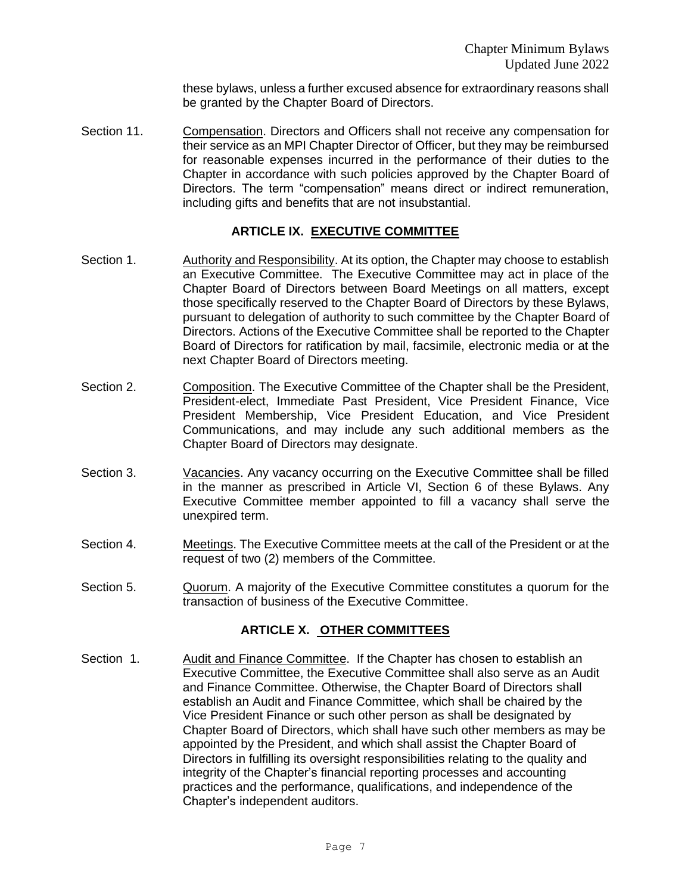these bylaws, unless a further excused absence for extraordinary reasons shall be granted by the Chapter Board of Directors.

Section 11. Compensation. Directors and Officers shall not receive any compensation for their service as an MPI Chapter Director of Officer, but they may be reimbursed for reasonable expenses incurred in the performance of their duties to the Chapter in accordance with such policies approved by the Chapter Board of Directors. The term "compensation" means direct or indirect remuneration, including gifts and benefits that are not insubstantial.

## **ARTICLE IX. EXECUTIVE COMMITTEE**

- Section 1. Authority and Responsibility. At its option, the Chapter may choose to establish an Executive Committee. The Executive Committee may act in place of the Chapter Board of Directors between Board Meetings on all matters, except those specifically reserved to the Chapter Board of Directors by these Bylaws, pursuant to delegation of authority to such committee by the Chapter Board of Directors. Actions of the Executive Committee shall be reported to the Chapter Board of Directors for ratification by mail, facsimile, electronic media or at the next Chapter Board of Directors meeting.
- Section 2. Composition. The Executive Committee of the Chapter shall be the President. President-elect, Immediate Past President, Vice President Finance, Vice President Membership, Vice President Education, and Vice President Communications, and may include any such additional members as the Chapter Board of Directors may designate.
- Section 3. Vacancies. Any vacancy occurring on the Executive Committee shall be filled in the manner as prescribed in Article VI, Section 6 of these Bylaws. Any Executive Committee member appointed to fill a vacancy shall serve the unexpired term.
- Section 4. Meetings. The Executive Committee meets at the call of the President or at the request of two (2) members of the Committee.
- Section 5. Quorum. A majority of the Executive Committee constitutes a quorum for the transaction of business of the Executive Committee.

## **ARTICLE X. OTHER COMMITTEES**

Section 1. Audit and Finance Committee. If the Chapter has chosen to establish an Executive Committee, the Executive Committee shall also serve as an Audit and Finance Committee. Otherwise, the Chapter Board of Directors shall establish an Audit and Finance Committee, which shall be chaired by the Vice President Finance or such other person as shall be designated by Chapter Board of Directors, which shall have such other members as may be appointed by the President, and which shall assist the Chapter Board of Directors in fulfilling its oversight responsibilities relating to the quality and integrity of the Chapter's financial reporting processes and accounting practices and the performance, qualifications, and independence of the Chapter's independent auditors.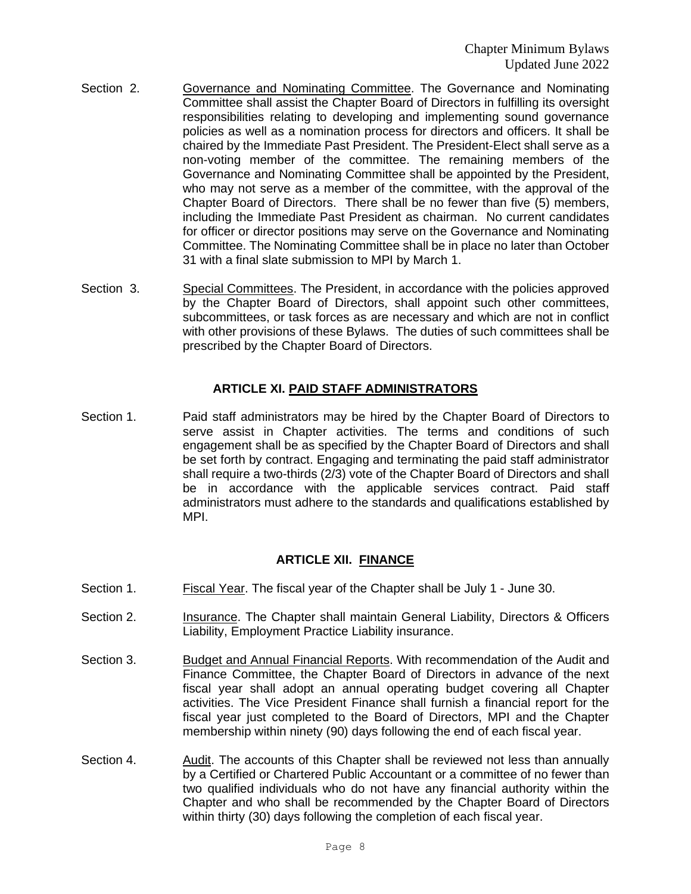- Section 2. Governance and Nominating Committee. The Governance and Nominating Committee shall assist the Chapter Board of Directors in fulfilling its oversight responsibilities relating to developing and implementing sound governance policies as well as a nomination process for directors and officers. It shall be chaired by the Immediate Past President. The President-Elect shall serve as a non-voting member of the committee. The remaining members of the Governance and Nominating Committee shall be appointed by the President, who may not serve as a member of the committee, with the approval of the Chapter Board of Directors. There shall be no fewer than five (5) members, including the Immediate Past President as chairman. No current candidates for officer or director positions may serve on the Governance and Nominating Committee. The Nominating Committee shall be in place no later than October 31 with a final slate submission to MPI by March 1.
- Section 3. Special Committees. The President, in accordance with the policies approved by the Chapter Board of Directors, shall appoint such other committees, subcommittees, or task forces as are necessary and which are not in conflict with other provisions of these Bylaws. The duties of such committees shall be prescribed by the Chapter Board of Directors.

### **ARTICLE XI. PAID STAFF ADMINISTRATORS**

Section 1. **Paid staff administrators may be hired by the Chapter Board of Directors to** serve assist in Chapter activities. The terms and conditions of such engagement shall be as specified by the Chapter Board of Directors and shall be set forth by contract. Engaging and terminating the paid staff administrator shall require a two-thirds (2/3) vote of the Chapter Board of Directors and shall be in accordance with the applicable services contract. Paid staff administrators must adhere to the standards and qualifications established by MPI.

## **ARTICLE XII. FINANCE**

- Section 1. Fiscal Year. The fiscal year of the Chapter shall be July 1 June 30.
- Section 2. **Insurance. The Chapter shall maintain General Liability, Directors & Officers** Liability, Employment Practice Liability insurance.
- Section 3. Budget and Annual Financial Reports. With recommendation of the Audit and Finance Committee, the Chapter Board of Directors in advance of the next fiscal year shall adopt an annual operating budget covering all Chapter activities. The Vice President Finance shall furnish a financial report for the fiscal year just completed to the Board of Directors, MPI and the Chapter membership within ninety (90) days following the end of each fiscal year.
- Section 4. Audit. The accounts of this Chapter shall be reviewed not less than annually by a Certified or Chartered Public Accountant or a committee of no fewer than two qualified individuals who do not have any financial authority within the Chapter and who shall be recommended by the Chapter Board of Directors within thirty (30) days following the completion of each fiscal year.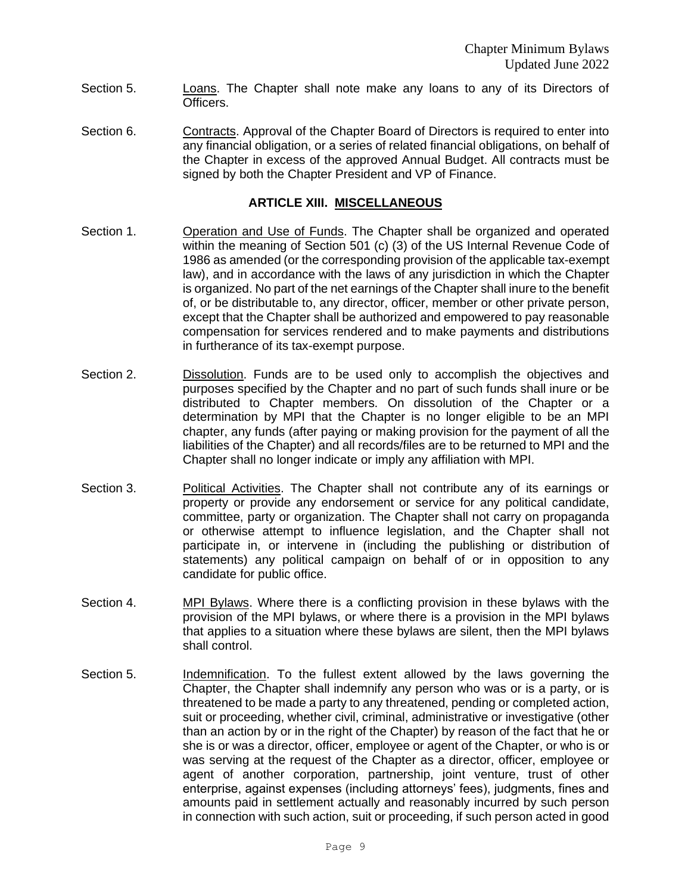- Section 5. Loans. The Chapter shall note make any loans to any of its Directors of Officers.
- Section 6. Contracts. Approval of the Chapter Board of Directors is required to enter into any financial obligation, or a series of related financial obligations, on behalf of the Chapter in excess of the approved Annual Budget. All contracts must be signed by both the Chapter President and VP of Finance.

#### **ARTICLE XIII. MISCELLANEOUS**

- Section 1. Operation and Use of Funds. The Chapter shall be organized and operated within the meaning of Section 501 (c) (3) of the US Internal Revenue Code of 1986 as amended (or the corresponding provision of the applicable tax-exempt law), and in accordance with the laws of any jurisdiction in which the Chapter is organized. No part of the net earnings of the Chapter shall inure to the benefit of, or be distributable to, any director, officer, member or other private person, except that the Chapter shall be authorized and empowered to pay reasonable compensation for services rendered and to make payments and distributions in furtherance of its tax-exempt purpose.
- Section 2. Dissolution. Funds are to be used only to accomplish the objectives and purposes specified by the Chapter and no part of such funds shall inure or be distributed to Chapter members. On dissolution of the Chapter or a determination by MPI that the Chapter is no longer eligible to be an MPI chapter, any funds (after paying or making provision for the payment of all the liabilities of the Chapter) and all records/files are to be returned to MPI and the Chapter shall no longer indicate or imply any affiliation with MPI.
- Section 3. Political Activities. The Chapter shall not contribute any of its earnings or property or provide any endorsement or service for any political candidate, committee, party or organization. The Chapter shall not carry on propaganda or otherwise attempt to influence legislation, and the Chapter shall not participate in, or intervene in (including the publishing or distribution of statements) any political campaign on behalf of or in opposition to any candidate for public office.
- Section 4. MPI Bylaws. Where there is a conflicting provision in these bylaws with the provision of the MPI bylaws, or where there is a provision in the MPI bylaws that applies to a situation where these bylaws are silent, then the MPI bylaws shall control.
- Section 5. Indemnification. To the fullest extent allowed by the laws governing the Chapter, the Chapter shall indemnify any person who was or is a party, or is threatened to be made a party to any threatened, pending or completed action, suit or proceeding, whether civil, criminal, administrative or investigative (other than an action by or in the right of the Chapter) by reason of the fact that he or she is or was a director, officer, employee or agent of the Chapter, or who is or was serving at the request of the Chapter as a director, officer, employee or agent of another corporation, partnership, joint venture, trust of other enterprise, against expenses (including attorneys' fees), judgments, fines and amounts paid in settlement actually and reasonably incurred by such person in connection with such action, suit or proceeding, if such person acted in good